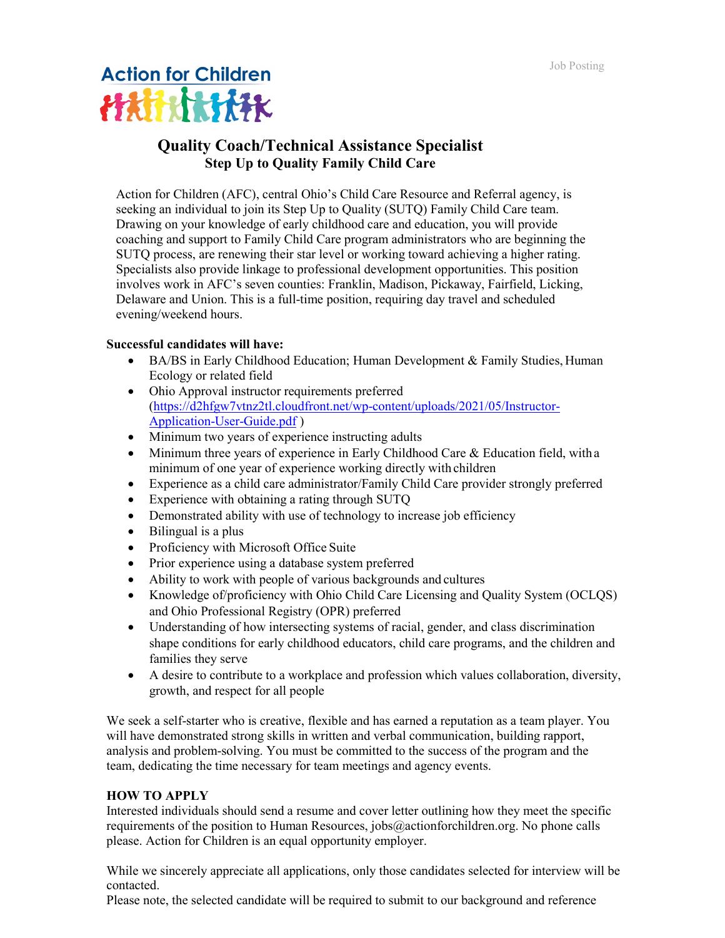

## **Quality Coach/Technical Assistance Specialist Step Up to Quality Family Child Care**

Action for Children (AFC), central Ohio's Child Care Resource and Referral agency, is seeking an individual to join its Step Up to Quality (SUTQ) Family Child Care team. Drawing on your knowledge of early childhood care and education, you will provide coaching and support to Family Child Care program administrators who are beginning the SUTQ process, are renewing their star level or working toward achieving a higher rating. Specialists also provide linkage to professional development opportunities. This position involves work in AFC's seven counties: Franklin, Madison, Pickaway, Fairfield, Licking, Delaware and Union. This is a full-time position, requiring day travel and scheduled evening/weekend hours.

## **Successful candidates will have:**

- BA/BS in Early Childhood Education; Human Development & Family Studies, Human Ecology or related field
- Ohio Approval instructor requirements preferred [\(https://d2hfgw7vtnz2tl.cloudfront.net/wp-content/uploads/2021/05/Instructor-](https://d2hfgw7vtnz2tl.cloudfront.net/wp-content/uploads/2021/05/Instructor-Application-User-Guide.pdf)[Application-User-Guide.pdf](https://d2hfgw7vtnz2tl.cloudfront.net/wp-content/uploads/2021/05/Instructor-Application-User-Guide.pdf) )
- Minimum two years of experience instructing adults
- Minimum three years of experience in Early Childhood Care & Education field, with a minimum of one year of experience working directly with children
- Experience as a child care administrator/Family Child Care provider strongly preferred
- Experience with obtaining a rating through SUTO
- Demonstrated ability with use of technology to increase job efficiency
- Bilingual is a plus
- Proficiency with Microsoft Office Suite
- Prior experience using a database system preferred
- Ability to work with people of various backgrounds and cultures
- Knowledge of/proficiency with Ohio Child Care Licensing and Quality System (OCLQS) and Ohio Professional Registry (OPR) preferred
- Understanding of how intersecting systems of racial, gender, and class discrimination shape conditions for early childhood educators, child care programs, and the children and families they serve
- A desire to contribute to a workplace and profession which values collaboration, diversity, growth, and respect for all people

We seek a self-starter who is creative, flexible and has earned a reputation as a team player. You will have demonstrated strong skills in written and verbal communication, building rapport, analysis and problem-solving. You must be committed to the success of the program and the team, dedicating the time necessary for team meetings and agency events.

## **HOW TO APPLY**

Interested individuals should send a resume and cover letter outlining how they meet the specific requirements of the position to Human Resources, jobs@actionforchildren.org. No phone calls please. Action for Children is an equal opportunity employer.

While we sincerely appreciate all applications, only those candidates selected for interview will be contacted.

Please note, the selected candidate will be required to submit to our background and reference